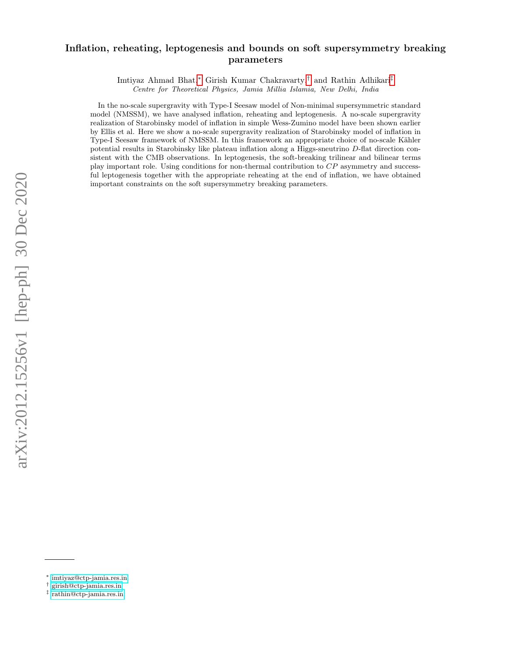# Inflation, reheating, leptogenesis and bounds on soft supersymmetry breaking parameters

Imtiyaz Ahmad Bhat,[∗](#page-0-0) Girish Kumar Chakravarty,[†](#page-0-1) and Rathin Adhikari[‡](#page-0-2) Centre for Theoretical Physics, Jamia Millia Islamia, New Delhi, India

In the no-scale supergravity with Type-I Seesaw model of Non-minimal supersymmetric standard model (NMSSM), we have analysed inflation, reheating and leptogenesis. A no-scale supergravity realization of Starobinsky model of inflation in simple Wess-Zumino model have been shown earlier by Ellis et al. Here we show a no-scale supergravity realization of Starobinsky model of inflation in Type-I Seesaw framework of NMSSM. In this framework an appropriate choice of no-scale Kähler potential results in Starobinsky like plateau inflation along a Higgs-sneutrino D-flat direction consistent with the CMB observations. In leptogenesis, the soft-breaking trilinear and bilinear terms play important role. Using conditions for non-thermal contribution to CP asymmetry and successful leptogenesis together with the appropriate reheating at the end of inflation, we have obtained important constraints on the soft supersymmetry breaking parameters.

<span id="page-0-0"></span><sup>∗</sup> [imtiyaz@ctp-jamia.res.in](mailto:imtiyaz@ctp-jamia.res.in)

<span id="page-0-1"></span><sup>†</sup> [girish@ctp-jamia.res.in](mailto:girish@ctp-jamia.res.in)

<span id="page-0-2"></span><sup>‡</sup> [rathin@ctp-jamia.res.in](mailto:rathin@ctp-jamia.res.in)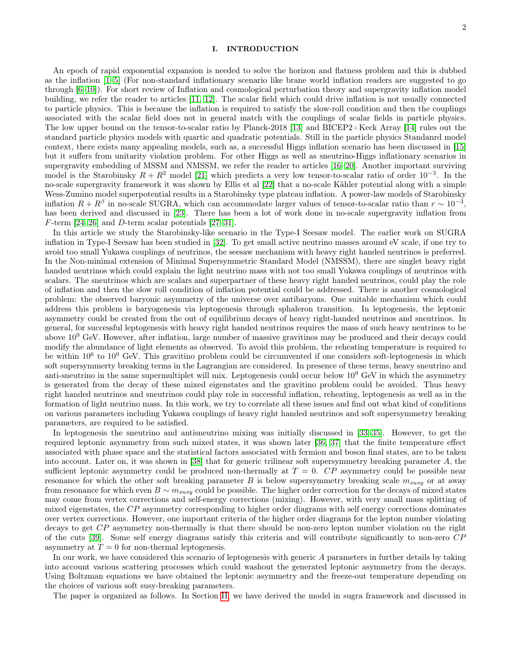### I. INTRODUCTION

2

An epoch of rapid exponential expansion is needed to solve the horizon and flatness problem and this is dubbed as the inflation [\[1](#page-12-0)[–5\]](#page-12-1) (For non-standard inflationary scenario like brane world inflation readers are suggested to go through [\[6](#page-12-2)[–10\]](#page-12-3)). For short review of Inflation and cosmological perturbation theory and supergravity inflation model building, we refer the reader to articles [\[11,](#page-12-4) [12\]](#page-12-5). The scalar field which could drive inflation is not usually connected to particle physics. This is because the inflation is required to satisfy the slow-roll condition and then the couplings associated with the scalar field does not in general match with the couplings of scalar fields in particle physics. The low upper bound on the tensor-to-scalar ratio by Planck-2018 [\[13\]](#page-12-6) and BICEP2+Keck Array [\[14\]](#page-12-7) rules out the standard particle physics models with quartic and quadratic potentials. Still in the particle physics Standanrd model context, there exists many appealing models, such as, a successful Higgs inflation scenario has been discussed in [\[15\]](#page-12-8) but it suffers from unitarity violation problem. For other Higgs as well as sneutrino-Higgs inflationary scenarios in supergravity embedding of MSSM and NMSSM, we refer the reader to articles [\[16](#page-12-9)[–20\]](#page-12-10). Another important surviving model is the Starobinsky  $R + R^2$  model [\[21\]](#page-12-11) which predicts a very low tensor-to-scalar ratio of order 10<sup>-3</sup>. In the no-scale supergravity framework it was shown by Ellis et al [\[22\]](#page-12-12) that a no-scale Kähler potential along with a simple Wess-Zumino model superpotential results in a Starobinsky type plateau inflation. A power-law models of Starobinsky inflation  $R + R^{\beta}$  in no-scale SUGRA, which can accommodate larger values of tensor-to-scalar ratio than  $r \sim 10^{-3}$ , has been derived and discussed in [\[23\]](#page-12-13). There has been a lot of work done in no-scale supergravity inflation from F-term [\[24–](#page-12-14)[26\]](#page-12-15) and D-term scalar potentials [\[27–](#page-12-16)[31\]](#page-12-17).

In this article we study the Starobinsky-like scenario in the Type-I Seesaw model. The earlier work on SUGRA inflation in Type-I Seesaw has been studied in [\[32\]](#page-12-18). To get small active neutrino masses around eV scale, if one try to avoid too small Yukawa couplings of neutrinos, the seesaw mechanism with heavy right handed neutrinos is preferred. In the Non-minimal extension of Minimal Supersymmetric Standard Model (NMSSM), there are singlet heavy right handed neutrinos which could explain the light neutrino mass with not too small Yukawa couplings of neutrinos with scalars. The sneutrinos which are scalars and superpartner of these heavy right handed neutrinos, could play the role of inflation and then the slow roll condition of inflation potential could be addressed. There is another cosmological problem: the observed baryonic asymmetry of the universe over antibaryons. One suitable mechanism which could address this problem is baryogenesis via leptogenesis through sphaleron transition. In leptogenesis, the leptonic asymmetry could be created from the out of equilibrium decays of heavy right-handed neutrinos and sneutrinos. In general, for successful leptogenesis with heavy right handed neutrinos requires the mass of such heavy neutrinos to be above 10<sup>9</sup> GeV. However, after inflation, large number of massive gravitinos may be produced and their decays could modify the abundance of light elements as observed. To avoid this problem, the reheating temperature is required to be within 10<sup>6</sup> to 10<sup>9</sup> GeV. This gravitino problem could be circumvented if one considers soft-leptogenesis in which soft supersymmerty breaking terms in the Lagrangian are considered. In presence of these terms, heavy sneutrino and anti-sneutrino in the same supermultiplet will mix. Leptogenesis could occur below  $10^9$  GeV in which the asymmetry is generated from the decay of these mixed eigenstates and the gravitino problem could be avoided. Thus heavy right handed neutrinos and sneutrinos could play role in successful inflation, reheating, leptogenesis as well as in the formation of light neutrino mass. In this work, we try to correlate all these issues and find out what kind of conditions on various parameters including Yukawa couplings of heavy right handed neutrinos and soft supersymmetry breaking parameters, are required to be satisfied.

In leptogenesis the sneutrino and antisneutrino mixing was initially discussed in [\[33–](#page-12-19)[35\]](#page-12-20). However, to get the required leptonic asymmetry from such mixed states, it was shown later [\[36,](#page-12-21) [37\]](#page-12-22) that the finite temperature effect associated with phase space and the statistical factors associated with fermion and boson final states, are to be taken into account. Later on, it was shown in [\[38\]](#page-13-0) that for generic trilinear soft supersymmetry breaking parameter A, the sufficient leptonic asymmetry could be produced non-thermally at  $T = 0$ . CP asymmetry could be possible near resonance for which the other soft breaking parameter B is below supersymmetry breaking scale  $m_{susy}$  or at away from resonance for which even  $B \sim m_{susy}$  could be possible. The higher order correction for the decays of mixed states may come from vertex corrections and self-energy corrections (mixing). However, with very small mass splitting of mixed eigenstates, the CP asymmetry corresponding to higher order diagrams with self energy corrections dominates over vertex corrections. However, one important criteria of the higher order diagrams for the lepton number violating decays to get CP asymmetry non-thermally is that there should be non-zero lepton number violation on the right of the cuts [\[39\]](#page-13-1). Some self energy diagrams satisfy this criteria and will contribute significantly to non-zero CP asymmetry at  $T = 0$  for non-thermal leptogenesis.

In our work, we have considered this scenario of leptogenesis with generic A parameters in further details by taking into account various scattering processes which could washout the generated leptonic asymmetry from the decays. Using Boltzman equations we have obtained the leptonic asymmetry and the freeze-out temperature depending on the choices of various soft susy-breaking parameters.

The paper is organized as follows. In Section [II,](#page-2-0) we have derived the model in sugra framework and discussed in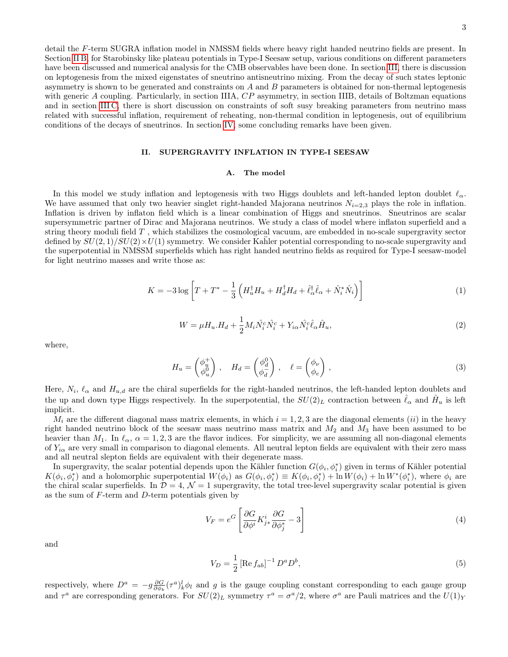detail the F-term SUGRA inflation model in NMSSM fields where heavy right handed neutrino fields are present. In Section [II B,](#page-4-0) for Starobinsky like plateau potentials in Type-I Seesaw setup, various conditions on different parameters have been discussed and numerical analysis for the CMB observables have been done. In section [III,](#page-5-0) there is discussion on leptogenesis from the mixed eigenstates of sneutrino antisneutrino mixing. From the decay of such states leptonic asymmetry is shown to be generated and constraints on A and B parameters is obtained for non-thermal leptogenesis with generic A coupling. Particularly, in section IIIA, CP asymmetry, in section IIIB, details of Boltzman equations and in section [III C,](#page-8-0) there is short discussion on constraints of soft susy breaking parameters from neutrino mass related with successful inflation, requirement of reheating, non-thermal condition in leptogenesis, out of equilibrium conditions of the decays of sneutrinos. In section [IV,](#page-11-0) some concluding remarks have been given.

# <span id="page-2-0"></span>II. SUPERGRAVITY INFLATION IN TYPE-I SEESAW

### A. The model

In this model we study inflation and leptogenesis with two Higgs doublets and left-handed lepton doublet  $\ell_{\alpha}$ . We have assumed that only two heavier singlet right-handed Majorana neutrinos  $N_{i=2,3}$  plays the role in inflation. Inflation is driven by inflaton field which is a linear combination of Higgs and sneutrinos. Sneutrinos are scalar supersymmetric partner of Dirac and Majorana neutrinos. We study a class of model where inflaton superfield and a string theory moduli field T , which stabilizes the cosmological vacuum, are embedded in no-scale supergravity sector defined by  $SU(2,1)/SU(2)\times U(1)$  symmetry. We consider Kahler potential corresponding to no-scale supergravity and the superpotential in NMSSM superfields which has right handed neutrino fields as required for Type-I seesaw-model for light neutrino masses and write those as:

$$
K = -3\log\left[T + T^* - \frac{1}{3}\left(H_u^{\dagger}H_u + H_d^{\dagger}H_d + \hat{\ell}_{\alpha}^{\dagger}\hat{\ell}_{\alpha} + \hat{N}_i^*\hat{N}_i\right)\right]
$$
(1)

<span id="page-2-1"></span>
$$
W = \mu H_u . H_d + \frac{1}{2} M_i \hat{N}_i^c \hat{N}_i^c + Y_{i\alpha} \hat{N}_i^c \hat{\ell}_\alpha \hat{H}_u,
$$
\n
$$
\tag{2}
$$

where,

$$
H_u = \begin{pmatrix} \phi_u^+ \\ \phi_u^0 \end{pmatrix}, \quad H_d = \begin{pmatrix} \phi_d^0 \\ \phi_d^- \end{pmatrix}, \quad \ell = \begin{pmatrix} \phi_\nu \\ \phi_e \end{pmatrix}, \tag{3}
$$

Here,  $N_i$ ,  $\ell_\alpha$  and  $H_{u,d}$  are the chiral superfields for the right-handed neutrinos, the left-handed lepton doublets and the up and down type Higgs respectively. In the superpotential, the  $SU(2)_L$  contraction between  $\hat{\ell}_{\alpha}$  and  $\hat{H}_u$  is left implicit.

 $M_i$  are the different diagonal mass matrix elements, in which  $i = 1, 2, 3$  are the diagonal elements (ii) in the heavy right handed neutrino block of the seesaw mass neutrino mass matrix and  $M_2$  and  $M_3$  have been assumed to be heavier than  $M_1$ . In  $\ell_{\alpha}$ ,  $\alpha = 1, 2, 3$  are the flavor indices. For simplicity, we are assuming all non-diagonal elements of  $Y_{i\alpha}$  are very small in comparison to diagonal elements. All neutral lepton fields are equivalent with their zero mass and all neutral slepton fields are equivalent with their degenerate mass.

In supergravity, the scalar potential depends upon the Kähler function  $G(\phi_i, \phi_i^*)$  given in terms of Kähler potential  $K(\phi_i, \phi_i^*)$  and a holomorphic superpotential  $W(\phi_i)$  as  $G(\phi_i, \phi_i^*) = K(\phi_i, \phi_i^*) + \ln W(\phi_i) + \ln W^*(\phi_i^*)$ , where  $\phi_i$  are the chiral scalar superfields. In  $\mathcal{D} = 4$ ,  $\mathcal{N} = 1$  supergravity, the total tree-level supergravity scalar potential is given as the sum of  $F$ -term and  $D$ -term potentials given by

$$
V_F = e^G \left[ \frac{\partial G}{\partial \phi^i} K^i_{j*} \frac{\partial G}{\partial \phi^*_{j}} - 3 \right]
$$
 (4)

and

$$
V_D = \frac{1}{2} \left[ \text{Re} \, f_{ab} \right]^{-1} D^a D^b,\tag{5}
$$

respectively, where  $D^a = -g\frac{\partial G}{\partial \phi_k}(\tau^a)_k^l \phi_l$  and g is the gauge coupling constant corresponding to each gauge group and  $\tau^a$  are corresponding generators. For  $SU(2)_L$  symmetry  $\tau^a = \sigma^a/2$ , where  $\sigma^a$  are Pauli matrices and the  $U(1)_Y$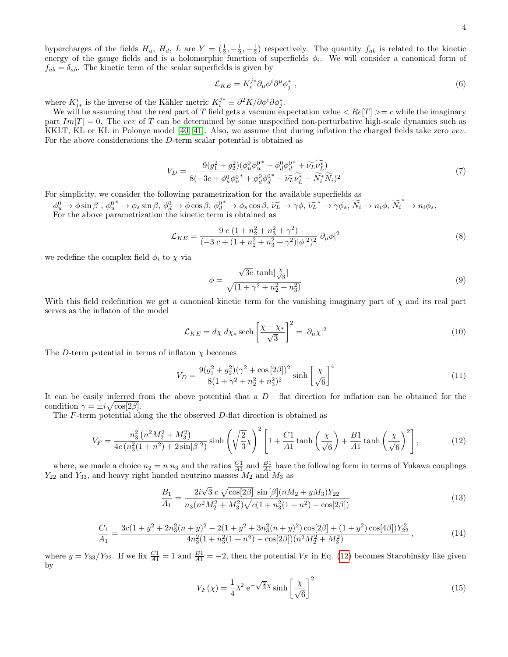4

hypercharges of the fields  $H_u$ ,  $H_d$ ,  $L$  are  $Y = (\frac{1}{2}, -\frac{1}{2}, -\frac{1}{2})$  respectively. The quantity  $f_{ab}$  is related to the kinetic energy of the gauge fields and is a holomorphic function of superfields  $\phi_i$ . We will consider a canonical form of  $f_{ab} = \delta_{ab}$ . The kinetic term of the scalar superfields is given by

$$
\mathcal{L}_{KE} = K_i^{j*} \partial_\mu \phi^i \partial^\mu \phi_j^*,\tag{6}
$$

where  $K_{i,*}^i$  is the inverse of the Kähler metric  $K_i^{j*} \equiv \partial^2 K / \partial \phi^i \partial \phi_j^*$ .

We will be assuming that the real part of T field gets a vacuum expectation value  $\langle Re[T] \rangle = c$  while the imaginary part  $Im[T] = 0$ . The vev of T can be determined by some unspecified non-perturbative high-scale dynamics such as KKLT, KL or KL in Polonye model [\[40,](#page-13-2) [41\]](#page-13-3). Also, we assume that during inflation the charged fields take zero vev. For the above considerations the D-term scalar potential is obtained as

$$
V_D = \frac{9(g_1^2 + g_2^2)(\phi_u^0 \phi_u^{0*} - \phi_d^0 \phi_d^{0*} + \widetilde{\nu_L} \widetilde{\nu_L^*})}{8(-3c + \phi_u^0 \phi_u^{0*} + \phi_d^0 \phi_d^{0*} - \widetilde{\nu_L} \widetilde{\nu_L^*} + \widetilde{N}_i^* \widetilde{N}_i)^2}.
$$
\n(7)

For simplicity, we consider the following parametrization for the available superfields as

 $\phi_u^0 \to \phi \sin \beta$ ,  $\phi_u^{0^*} \to \phi_s \sin \beta$ ,  $\phi_d^0 \to \phi \cos \beta$ ,  $\phi_d^{0^*} \to \phi_s \cos \beta$ ,  $\widetilde{\nu_L} \to \gamma \phi$ ,  $\widetilde{\nu_L}^* \to \gamma \phi_s$ ,  $\widetilde{N}_i \to n_i \phi$ ,  $\widetilde{N}_i^* \to n_i \phi_s$ , For the above parametrization the kinetic term is obtained as

$$
\mathcal{L}_{KE} = \frac{9 \ c \ (1 + n_2^2 + n_3^2 + \gamma^2)}{(-3 \ c + (1 + n_2^2 + n_3^2 + \gamma^2)|\phi|^2)^2} |\partial_\mu \phi|^2 \tag{8}
$$

we redefine the complex field  $\phi_i$  to  $\chi$  via

$$
\phi = \frac{\sqrt{3c} \, \tanh\left[\frac{x}{\sqrt{3}}\right]}{\sqrt{(1 + \gamma^2 + n_2^2 + n_3^2)}}
$$
\n(9)

With this field redefinition we get a canonical kinetic term for the vanishing imaginary part of  $\chi$  and its real part serves as the inflaton of the model

$$
\mathcal{L}_{KE} = d\chi \, d\chi_* \operatorname{sech}\left[\frac{\chi - \chi_*}{\sqrt{3}}\right]^2 = |\partial_\mu \chi|^2 \tag{10}
$$

The D-term potential in terms of inflaton  $\chi$  becomes

<span id="page-3-0"></span>
$$
V_D = \frac{9(g_1^2 + g_2^2)(\gamma^2 + \cos\left[2\beta\right])^2}{8(1 + \gamma^2 + n_2^2 + n_3^2)^2} \sinh\left[\frac{\chi}{\sqrt{6}}\right]^4 \tag{11}
$$

It can be easily inferred from the above potential that a D− flat direction for inflation can be obtained for the condition  $\gamma = \pm i \sqrt{\cos[2\beta]}.$ 

The F-term potential along the the observed D-flat direction is obtained as

$$
V_F = \frac{n_3^2 \left(n^2 M_2^2 + M_3^2\right)}{4c \left(n_3^2 (1 + n^2) + 2 \sin[\beta]^2\right)} \sinh\left(\sqrt{\frac{2}{3}} \chi\right)^2 \left[1 + \frac{C1}{A1} \tanh\left(\frac{\chi}{\sqrt{6}}\right) + \frac{B1}{A1} \tanh\left(\frac{\chi}{\sqrt{6}}\right)^2\right],\tag{12}
$$

where, we made a choice  $n_2 = n n_3$  and the ratios  $\frac{C_1}{A_1}$  and  $\frac{B_1}{A_1}$  have the following form in terms of Yukawa couplings  $Y_{22}$  and  $Y_{33}$ , and heavy right handed neutrino masses  $M_2$  and  $M_3$  as

$$
\frac{B_1}{A_1} = \frac{2i\sqrt{3} \ c \ \sqrt{\cos[2\beta]} \ \sin[\beta](nM_2 + yM_3)Y_{22}}{n_3(n^2M_2^2 + M_3^2)\sqrt{c(1+n_3^2(1+n^2) - \cos[2\beta])}}
$$
(13)

$$
\frac{C_1}{A_1} = \frac{3c(1+y^2+2n_3^2(n+y)^2-2(1+y^2+3n_3^2(n+y)^2)\cos[2\beta]+(1+y^2)\cos[4\beta])Y_{22}^2}{4n_3^2(1+n_3^2(1+n^2)-\cos[2\beta])(n^2M_2^2+M_3^2)},
$$
\n(14)

where  $y = Y_{33}/Y_{22}$ . If we fix  $\frac{C_1}{A_1} = 1$  and  $\frac{B_1}{A_1} = -2$ , then the potential  $V_F$  in Eq. [\(12\)](#page-3-0) becomes Starobinsky like given by

<span id="page-3-2"></span><span id="page-3-1"></span>
$$
V_F(\chi) = \frac{1}{4}\lambda^2 \,\mathrm{e}^{-\sqrt{\frac{2}{3}}\chi} \sinh\left[\frac{\chi}{\sqrt{6}}\right]^2 \tag{15}
$$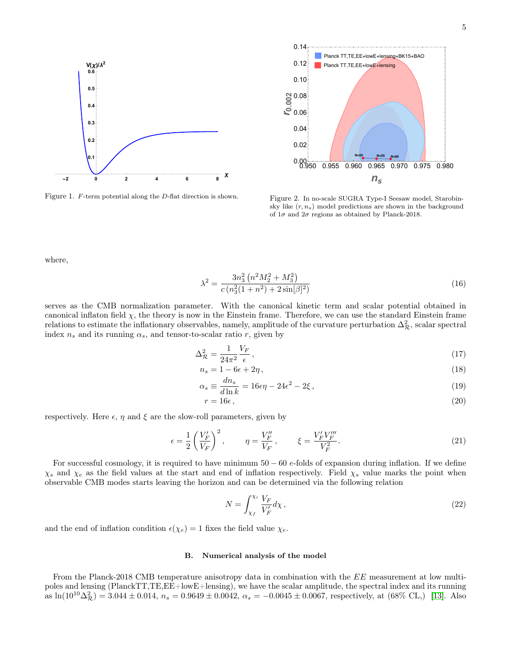

<span id="page-4-2"></span>Figure 1. F-term potential along the D-flat direction is shown.



<span id="page-4-3"></span><span id="page-4-1"></span>Figure 2. In no-scale SUGRA Type-I Seesaw model, Starobinsky like  $(r, n_s)$  model predictions are shown in the background of  $1\sigma$  and  $2\sigma$  regions as obtained by Planck-2018.

where,

$$
\lambda^2 = \frac{3n_3^2 \left(n^2 M_2^2 + M_3^2\right)}{c \left(n_3^2 (1 + n^2) + 2 \sin[\beta]^2\right)}
$$
(16)

serves as the CMB normalization parameter. With the canonical kinetic term and scalar potential obtained in canonical inflaton field  $\chi$ , the theory is now in the Einstein frame. Therefore, we can use the standard Einstein frame relations to estimate the inflationary observables, namely, amplitude of the curvature perturbation  $\Delta_{\mathcal{R}}^2$ , scalar spectral index  $n_s$  and its running  $\alpha_s$ , and tensor-to-scalar ratio r, given by

$$
\Delta_{\mathcal{R}}^2 = \frac{1}{24\pi^2} \frac{V_F}{\epsilon},\tag{17}
$$

$$
n_s = 1 - 6\epsilon + 2\eta\,,\tag{18}
$$

$$
\alpha_s \equiv \frac{dn_s}{d\ln k} = 16\epsilon\eta - 24\epsilon^2 - 2\xi\,,\tag{19}
$$

$$
r = 16\epsilon \,,\tag{20}
$$

respectively. Here  $\epsilon$ ,  $\eta$  and  $\xi$  are the slow-roll parameters, given by

$$
\epsilon = \frac{1}{2} \left( \frac{V_F'}{V_F} \right)^2, \qquad \eta = \frac{V_F''}{V_F}, \qquad \xi = \frac{V_F' V_F'''}{V_F^2}.
$$
\n(21)

For successful cosmology, it is required to have minimum  $50 - 60$  e-folds of expansion during inflation. If we define  $\chi_s$  and  $\chi_e$  as the field values at the start and end of inflation respectively. Field  $\chi_s$  value marks the point when observable CMB modes starts leaving the horizon and can be determined via the following relation

$$
N = \int_{\chi_f}^{\chi_i} \frac{V_F}{V_F'} d\chi \,,\tag{22}
$$

and the end of inflation condition  $\epsilon(\chi_e) = 1$  fixes the field value  $\chi_e$ .

### <span id="page-4-0"></span>B. Numerical analysis of the model

From the Planck-2018 CMB temperature anisotropy data in combination with the EE measurement at low multipoles and lensing (PlanckTT,TE,EE+lowE+lensing), we have the scalar amplitude, the spectral index and its running as  $\ln(10^{10}\Delta_{\mathcal{R}}^2) = 3.044 \pm 0.014$ ,  $n_s = 0.9649 \pm 0.0042$ ,  $\alpha_s = -0.0045 \pm 0.0067$ , respectively, at  $(68\% \text{ CL})$  [\[13\]](#page-12-6). Also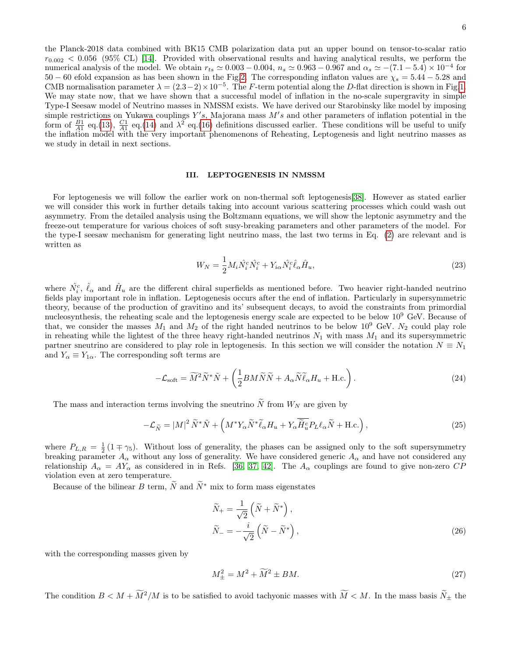the Planck-2018 data combined with BK15 CMB polarization data put an upper bound on tensor-to-scalar ratio  $r_{0.002}$  < 0.056 (95% CL) [\[14\]](#page-12-7). Provided with observational results and having analytical results, we perform the numerical analysis of the model. We obtain  $r_{ts} \simeq 0.003 - 0.004$ ,  $n_s \simeq 0.963 - 0.967$  and  $\alpha_s \simeq -(7.1 - 5.4) \times 10^{-4}$  for  $50-60$  efold expansion as has been shown in the Fig[.2.](#page-4-1) The corresponding inflaton values are  $\chi_s = 5.44 - 5.28$  and CMB normalisation parameter  $\lambda = (2.3-2) \times 10^{-5}$ . The F-term potential along the D-flat direction is shown in Fig[.1.](#page-4-2) We may state now, that we have shown that a successful model of inflation in the no-scale supergravity in simple Type-I Seesaw model of Neutrino masses in NMSSM exists. We have derived our Starobinsky like model by imposing simple restrictions on Yukawa couplings  $Y's$ , Majorana mass  $M's$  and other parameters of inflation potential in the form of  $\frac{B1}{A1}$  eq.[\(13\)](#page-3-1),  $\frac{C1}{A1}$  eq.[\(14\)](#page-3-2) and  $\lambda^2$  eq.[\(16\)](#page-4-3) definitions discussed earlier. These conditions will be useful to unify the inflation model with the very important phenomenons of Reheating, Leptogenesis and light neutrino masses as we study in detail in next sections.

### <span id="page-5-0"></span>III. LEPTOGENESIS IN NMSSM

For leptogenesis we will follow the earlier work on non-thermal soft leptogenesis[\[38\]](#page-13-0). However as stated earlier we will consider this work in further details taking into account various scattering processes which could wash out asymmetry. From the detailed analysis using the Boltzmann equations, we will show the leptonic asymmetry and the freeze-out temperature for various choices of soft susy-breaking parameters and other parameters of the model. For the type-I seesaw mechanism for generating light neutrino mass, the last two terms in Eq. [\(2\)](#page-2-1) are relevant and is written as

$$
W_N = \frac{1}{2} M_i \hat{N}_i^c \hat{N}_i^c + Y_{i\alpha} \hat{N}_i^c \hat{\ell}_\alpha \hat{H}_u,
$$
\n(23)

where  $\hat{N}_i^c$ ,  $\hat{\ell}_{\alpha}$  and  $\hat{H}_u$  are the different chiral superfields as mentioned before. Two heavier right-handed neutrino fields play important role in inflation. Leptogenesis occurs after the end of inflation. Particularly in supersymmetric theory, because of the production of gravitino and its' subsequent decays, to avoid the constraints from primordial nucleosynthesis, the reheating scale and the leptogenesis energy scale are expected to be below 10<sup>9</sup> GeV. Because of that, we consider the masses  $M_1$  and  $M_2$  of the right handed neutrinos to be below 10<sup>9</sup> GeV.  $N_2$  could play role in reheating while the lightest of the three heavy right-handed neutrinos  $N_1$  with mass  $M_1$  and its supersymmetric partner sneutrino are considered to play role in leptogenesis. In this section we will consider the notation  $N \equiv N_1$ and  $Y_{\alpha} \equiv Y_{1\alpha}$ . The corresponding soft terms are

$$
-\mathcal{L}_{\text{soft}} = \widetilde{M}^2 \widetilde{N}^* \widetilde{N} + \left(\frac{1}{2} B M \widetilde{N} \widetilde{N} + A_\alpha \widetilde{N} \widetilde{\ell}_\alpha H_u + \text{H.c.}\right). \tag{24}
$$

The mass and interaction terms involving the sneutrino  $\ddot{N}$  from  $W_N$  are given by

$$
-\mathcal{L}_{\widetilde{N}} = |M|^2 \widetilde{N}^* \widetilde{N} + \left(M^* Y_\alpha \widetilde{N}^* \widetilde{\ell}_\alpha H_u + Y_\alpha \overline{\widetilde{H}_u^c} P_L \ell_\alpha \widetilde{N} + \text{H.c.}\right),\tag{25}
$$

where  $P_{L,R} = \frac{1}{2}(1 \mp \gamma_5)$ . Without loss of generality, the phases can be assigned only to the soft supersymmetry breaking parameter  $A_{\alpha}$  without any loss of generality. We have considered generic  $A_{\alpha}$  and have not considered any relationship  $A_{\alpha} = A Y_{\alpha}$  as considered in in Refs. [\[36,](#page-12-21) [37,](#page-12-22) [42\]](#page-13-4). The  $A_{\alpha}$  couplings are found to give non-zero  $CP$ violation even at zero temperature.

Because of the bilinear B term,  $\widetilde{N}$  and  $\widetilde{N}^*$  mix to form mass eigenstates

$$
\widetilde{N}_{+} = \frac{1}{\sqrt{2}} \left( \widetilde{N} + \widetilde{N}^{*} \right), \n\widetilde{N}_{-} = -\frac{i}{\sqrt{2}} \left( \widetilde{N} - \widetilde{N}^{*} \right),
$$
\n(26)

with the corresponding masses given by

<span id="page-5-1"></span>
$$
M_{\pm}^2 = M^2 + \widetilde{M}^2 \pm BM. \tag{27}
$$

The condition  $B < M + \widetilde{M}^2/M$  is to be satisfied to avoid tachyonic masses with  $\widetilde{M} < M$ . In the mass basis  $\widetilde{N}_{\pm}$  the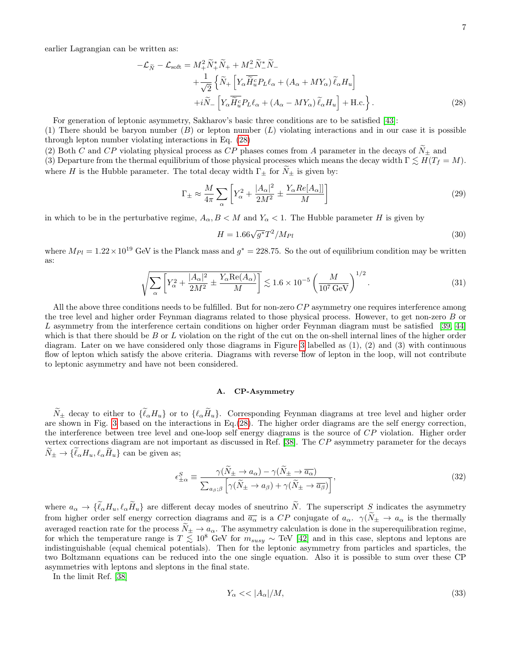<span id="page-6-0"></span>
$$
-\mathcal{L}_{\tilde{N}} - \mathcal{L}_{soft} = M_{+}^{2} \tilde{N}_{+}^{*} \tilde{N}_{+} + M_{-}^{2} \tilde{N}_{-}^{*} \tilde{N}_{-} + \frac{1}{\sqrt{2}} \left\{ \tilde{N}_{+} \left[ Y_{\alpha} \tilde{H}_{u}^{c} P_{L} \ell_{\alpha} + (A_{\alpha} + M Y_{\alpha}) \tilde{\ell}_{\alpha} H_{u} \right] \right. + i \tilde{N}_{-} \left[ Y_{\alpha} \tilde{H}_{u}^{c} P_{L} \ell_{\alpha} + (A_{\alpha} - M Y_{\alpha}) \tilde{\ell}_{\alpha} H_{u} \right] + \text{H.c.} \right\}.
$$
 (28)

For generation of leptonic asymmetry, Sakharov's basic three conditions are to be satisfied [\[43\]](#page-13-5):

(1) There should be baryon number  $(B)$  or lepton number  $(L)$  violating interactions and in our case it is possible through lepton number violating interactions in Eq. [\(28\)](#page-6-0)

(2) Both C and CP violating physical process as CP phases comes from A parameter in the decays of  $N_{\pm}$  and (3) Departure from the thermal equilibrium of those physical processes which means the decay width  $\Gamma \lesssim H(T_f = M)$ . where H is the Hubble parameter. The total decay width  $\Gamma_{\pm}$  for  $\widetilde{N}_{\pm}$  is given by:

$$
\Gamma_{\pm} \approx \frac{M}{4\pi} \sum_{\alpha} \left[ Y_{\alpha}^2 + \frac{|A_{\alpha}|^2}{2M^2} \pm \frac{Y_{\alpha} Re[A_{\alpha}]]}{M} \right]
$$
\n(29)

in which to be in the perturbative regime,  $A_{\alpha}, B < M$  and  $Y_{\alpha} < 1$ . The Hubble parameter H is given by

<span id="page-6-3"></span><span id="page-6-1"></span>
$$
H = 1.66\sqrt{g^*}T^2/M_{Pl} \tag{30}
$$

where  $M_{Pl} = 1.22 \times 10^{19}$  GeV is the Planck mass and  $g^* = 228.75$ . So the out of equilibrium condition may be written as:

$$
\sqrt{\sum_{\alpha} \left[ Y_{\alpha}^2 + \frac{|A_{\alpha}|^2}{2M^2} \pm \frac{Y_{\alpha} \text{Re}(A_{\alpha})}{M} \right]} \lesssim 1.6 \times 10^{-5} \left( \frac{M}{10^7 \text{ GeV}} \right)^{1/2}.
$$
\n(31)

All the above three conditions needs to be fulfilled. But for non-zero  $CP$  asymmetry one requires interference among the tree level and higher order Feynman diagrams related to those physical process. However, to get non-zero B or L asymmetry from the interference certain conditions on higher order Feynman diagram must be satisfied [\[39,](#page-13-1) [44\]](#page-13-6) which is that there should be  $B$  or  $L$  violation on the right of the cut on the on-shell internal lines of the higher order diagram. Later on we have considered only those diagrams in Figure [3](#page-7-0) labelled as (1), (2) and (3) with continuous flow of lepton which satisfy the above criteria. Diagrams with reverse flow of lepton in the loop, will not contribute to leptonic asymmetry and have not been considered.

## A. CP-Asymmetry

 $\widetilde{N}_{\pm}$  decay to either to  $\{\widetilde{\ell}_{\alpha}H_{u}\}$  or to  $\{\ell_{\alpha}\widetilde{H}_{u}\}$ . Corresponding Feynman diagrams at tree level and higher order are shown in Fig. [3](#page-7-0) based on the interactions in Eq.[\(28\)](#page-6-0). The higher order diagrams are the self energy correction, the interference between tree level and one-loop self energy diagrams is the source of CP violation. Higher order vertex corrections diagram are not important as discussed in Ref. [\[38\]](#page-13-0). The CP asymmetry parameter for the decays  $\widetilde{N}_{\pm} \rightarrow \{\widetilde{\ell}_{\alpha}H_u, \ell_{\alpha}\widetilde{H}_u\}$  can be given as;

$$
\epsilon_{\pm\alpha}^{S} \equiv \frac{\gamma (N_{\pm} \to a_{\alpha}) - \gamma (N_{\pm} \to \overline{a_{\alpha}})}{\sum_{a_{\beta};\beta} \left[ \gamma (\tilde{N}_{\pm} \to a_{\beta}) + \gamma (\tilde{N}_{\pm} \to \overline{a_{\beta}}) \right]},
$$
\n(32)

where  $a_{\alpha} \to \{\tilde{\ell}_{\alpha}H_u, \ell_{\alpha}\tilde{H}_u\}$  are different decay modes of sneutrino  $\tilde{N}$ . The superscript S indicates the asymmetry from higher order self energy correction diagrams and  $\overline{a_{\alpha}}$  is a  $CP$  conjugate of  $a_{\alpha}$ .  $\gamma(\widetilde{N}_{\pm} \to a_{\alpha})$  is the thermally averaged reaction rate for the process  $\tilde{N}_{\pm} \to a_{\alpha}$ . The asymmetry calculation is done in the superequilibration regime, for which the temperature range is  $T \lesssim 10^8$  GeV for  $m_{susy} \sim \text{TeV}$  [\[42\]](#page-13-4) and in this case, sleptons and leptons are indistinguishable (equal chemical potentials). Then for the leptonic asymmetry from particles and sparticles, the two Boltzmann equations can be reduced into the one single equation. Also it is possible to sum over these CP asymmetries with leptons and sleptons in the final state.

In the limit Ref. [\[38\]](#page-13-0)

<span id="page-6-2"></span>
$$
Y_{\alpha} << |A_{\alpha}| / M, \tag{33}
$$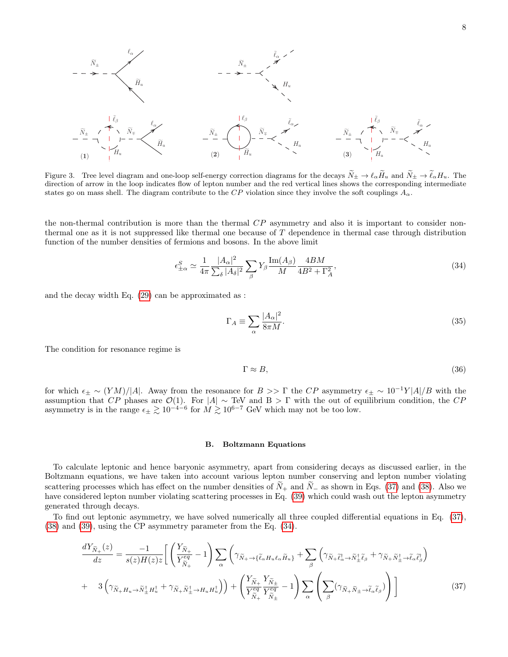

<span id="page-7-0"></span>Figure 3. Tree level diagram and one-loop self-energy correction diagrams for the decays  $\widetilde{N}_{\pm} \to \ell_\alpha \widetilde{H}_u$  and  $\widetilde{N}_{\pm} \to \widetilde{\ell}_\alpha H_u$ . The direction of arrow in the loop indicates flow of lepton number and the red vertical lines shows the corresponding intermediate states go on mass shell. The diagram contribute to the CP violation since they involve the soft couplings  $A_{\alpha}$ .

the non-thermal contribution is more than the thermal  $CP$  asymmetry and also it is important to consider nonthermal one as it is not suppressed like thermal one because of T dependence in thermal case through distribution function of the number densities of fermions and bosons. In the above limit

<span id="page-7-2"></span>
$$
\epsilon_{\pm\alpha}^{S} \simeq \frac{1}{4\pi} \frac{|A_{\alpha}|^{2}}{\sum_{\delta} |A_{\delta}|^{2}} \sum_{\beta} Y_{\beta} \frac{\text{Im}(A_{\beta})}{M} \frac{4BM}{4B^{2} + \Gamma_{A}^{2}},\tag{34}
$$

and the decay width Eq. [\(29\)](#page-6-1) can be approximated as :

$$
\Gamma_A \equiv \sum_{\alpha} \frac{|A_{\alpha}|^2}{8\pi M}.
$$
\n(35)

The condition for resonance regime is

$$
\Gamma \approx B,\tag{36}
$$

for which  $\epsilon_{\pm} \sim (YM)/|A|$ . Away from the resonance for  $B >> \Gamma$  the CP asymmetry  $\epsilon_{\pm} \sim 10^{-1} Y|A|/B$  with the assumption that  $CP$  phases are  $\mathcal{O}(1)$ . For  $|A| \sim \text{TeV}$  and  $B > \Gamma$  with the out of equilibrium condition, the  $CP$ asymmetry is in the range  $\epsilon_{\pm} \gtrsim 10^{-4-6}$  for  $M \gtrsim 10^{6-7}$  GeV which may not be too low.

#### B. Boltzmann Equations

To calculate leptonic and hence baryonic asymmetry, apart from considering decays as discussed earlier, in the Boltzmann equations, we have taken into account various lepton number conserving and lepton number violating scattering processes which has effect on the number densities of  $N_+$  and  $N_-$  as shown in Eqs. [\(37\)](#page-7-1) and [\(38\)](#page-8-1). Also we have considered lepton number violating scattering processes in Eq. [\(39\)](#page-8-2) which could wash out the lepton asymmetry generated through decays.

To find out leptonic asymmetry, we have solved numerically all three coupled differential equations in Eq. [\(37\)](#page-7-1), [\(38\)](#page-8-1) and [\(39\)](#page-8-2), using the CP asymmetry parameter from the Eq. [\(34\)](#page-7-2).

<span id="page-7-1"></span>
$$
\frac{dY_{\tilde{N}_{+}}(z)}{dz} = \frac{-1}{s(z)H(z)z} \left[ \left( \frac{Y_{\tilde{N}_{+}}}{Y_{\tilde{N}_{+}}^{eq}} - 1 \right) \sum_{\alpha} \left( \gamma_{\tilde{N}_{+} \to \{\tilde{\ell}_{\alpha} H_{u} \ell_{\alpha} \tilde{H}_{u}\}} + \sum_{\beta} \left( \gamma_{\tilde{N}_{+} \tilde{\ell}_{\alpha}^{\dagger} \to \tilde{N}_{+}^{\dagger} \tilde{\ell}_{\beta}} + \gamma_{\tilde{N}_{+} \tilde{N}_{+}^{\dagger} \to \tilde{\ell}_{\alpha} \tilde{\ell}_{\beta}^{\dagger}} \right) \right] + 3 \left( \gamma_{\tilde{N}_{+} H_{u} \to \tilde{N}_{+}^{\dagger} H_{u}^{\dagger}} + \gamma_{\tilde{N}_{+} \tilde{N}_{+}^{\dagger} \to H_{u} H_{u}^{\dagger}} \right) \right) + \left( \frac{Y_{\tilde{N}_{+}}}{Y_{\tilde{N}_{+}}^{eq}} \frac{Y_{\tilde{N}_{+}}}{Y_{\tilde{N}_{+}}^{eq}} - 1 \right) \sum_{\alpha} \left( \sum_{\beta} (\gamma_{\tilde{N}_{+} \tilde{N}_{+} \to \tilde{\ell}_{\alpha} \tilde{\ell}_{\beta}}) \right) \right]
$$
(37)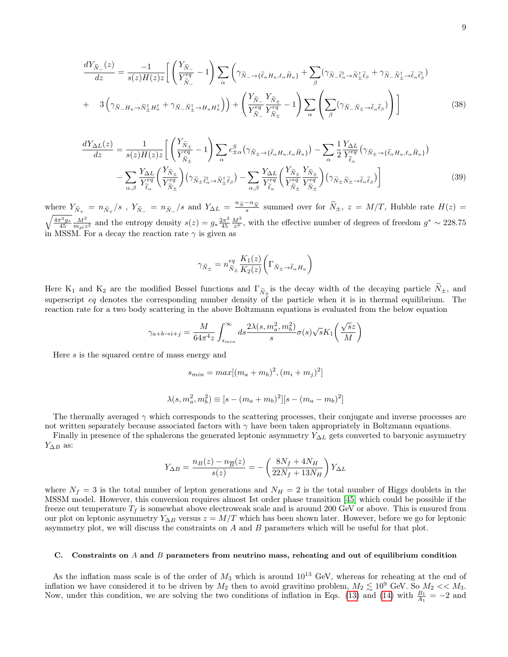<span id="page-8-1"></span>
$$
\frac{dY_{\tilde{N}_{-}}(z)}{dz} = \frac{-1}{s(z)H(z)z} \left[ \left( \frac{Y_{\tilde{N}_{-}}}{Y_{\tilde{N}_{-}}^{eq}} - 1 \right) \sum_{\alpha} \left( \gamma_{\tilde{N}_{-} \to \{\tilde{\ell}_{\alpha} H_u, \ell_{\alpha} \tilde{H}_u\}} + \sum_{\beta} (\gamma_{\tilde{N}_{-} \tilde{\ell}_{\alpha}^{\dagger} \to \tilde{N}_{+}^{\dagger} \tilde{\ell}_{\beta}} + \gamma_{\tilde{N}_{-} \tilde{N}_{+}^{\dagger} \to \tilde{\ell}_{\alpha} \tilde{\ell}_{\beta}^{\dagger})} \right) + \frac{1}{2} \left( \gamma_{\tilde{N}_{-} H_u \to \tilde{N}_{+}^{\dagger} \tilde{\ell}_{\beta}^{\dagger}} + \gamma_{\tilde{N}_{-} H_u \to \tilde{\ell}_{\alpha}^{\dagger} \tilde{\ell}_{\beta}^{\dagger}} + \gamma_{\tilde{N}_{-} H_u \to \tilde{\ell}_{\alpha}^{\dagger} \tilde{\ell}_{\beta}^{\dagger}} \right) \right]
$$
\n
$$
+ 3 \left( \gamma_{\tilde{N}_{-} H_u \to \tilde{N}_{+}^{\dagger} H_u^{\dagger}} + \gamma_{\tilde{N}_{-} \tilde{N}_{+}^{\dagger} \to H_u H_u^{\dagger}} \right) \right) + \left( \frac{Y_{\tilde{N}_{-}}}{Y_{\tilde{N}_{+}}^{eq}} - 1 \right) \sum_{\alpha} \left( \sum_{\beta} (\gamma_{\tilde{N}_{-} \tilde{N}_{+} \to \tilde{\ell}_{\alpha} \tilde{\ell}_{\beta}}) \right) \right]
$$
\n
$$
(38)
$$

<span id="page-8-2"></span>
$$
\frac{dY_{\Delta L}(z)}{dz} = \frac{1}{s(z)H(z)z} \left[ \left( \frac{Y_{\tilde{N}_{\pm}}}{Y_{\tilde{N}_{\pm}}^{eq}} - 1 \right) \sum_{\alpha} \epsilon_{\pm \alpha}^{S} \left( \gamma_{\tilde{N}_{\pm} \to \{\tilde{\ell}_{\alpha} H_u, \ell_{\alpha} \tilde{H}_u\}} \right) - \sum_{\alpha} \frac{1}{2} \frac{Y_{\Delta L}}{Y_{\tilde{\ell}_{\alpha}}^{eq}} \left( \gamma_{\tilde{N}_{\pm} \to \{\tilde{\ell}_{\alpha} H_u, \ell_{\alpha} \tilde{H}_u\}} \right) - \sum_{\alpha, \beta} \frac{1}{Y_{\tilde{\ell}_{\alpha}}^{eq}} \left( \frac{Y_{\tilde{N}_{\pm}}}{Y_{\tilde{\ell}_{\alpha}}^{eq}} \right) \left( \gamma_{\tilde{N}_{\pm} \tilde{\ell}_{\alpha}^{\pm}} \gamma_{\tilde{N}_{\pm}^{\pm} \tilde{\ell}_{\beta}} \right) - \sum_{\alpha, \beta} \frac{Y_{\Delta L}}{Y_{\tilde{\ell}_{\alpha}}^{eq}} \left( \frac{Y_{\tilde{N}_{\pm}}}{Y_{\tilde{N}_{\pm}}^{eq}} \sum_{\tilde{Y}_{\tilde{N}_{\pm}}^{eq}} \right) \left( \gamma_{\tilde{N}_{\pm} \tilde{N}_{\pm} \to \tilde{\ell}_{\alpha} \tilde{\ell}_{\beta}} \right) \right]
$$
(39)

where  $Y_{\tilde{N}_+} = n_{\tilde{N}_+}/s$ ,  $Y_{\tilde{N}_-} = n_{\tilde{N}_-}/s$  and  $Y_{\Delta L} = \frac{n_{\tilde{N}} - n_{\tilde{N}}}{s}$  summed over for  $\tilde{N}_\pm$ ,  $z = M/T$ , Hubble rate  $H(z) =$  $\sqrt{\frac{4\pi^3 g_*}{45}} \frac{M^2}{m_{pl}z^2}$  and the entropy density  $s(z) = g_* \frac{2\pi^2 g}{45}$  $\frac{2\pi^2}{45} \frac{M^3}{z^3}$ , with the effective number of degrees of freedom  $g^* \sim 228.75$ in MSSM. For a decay the reaction rate  $\gamma$  is given as

$$
\gamma_{\tilde{N}_{\pm}}=n_{\tilde{N}_{\pm}}^{eq}\frac{K_{1}(z)}{K_{2}(z)}\bigg(\Gamma_{\tilde{N}_{\pm}\to\tilde{\ell}_{\alpha}H_{u}}\bigg)
$$

Here K<sub>1</sub> and K<sub>2</sub> are the modified Bessel functions and  $\Gamma_{\tilde{N}_{\pm}}$  is the decay width of the decaying particle  $N_{\pm}$ , and superscript eq denotes the corresponding number density of the particle when it is in thermal equilibrium. The reaction rate for a two body scattering in the above Boltzmann equations is evaluated from the below equation

$$
\gamma_{a+b\to i+j} = \frac{M}{64\pi^4 z} \int_{s_{min}}^{\infty} ds \frac{2\lambda(s, m_a^2, m_b^2)}{s} \sigma(s) \sqrt{s} K_1\left(\frac{\sqrt{s}z}{M}\right)
$$

Here s is the squared centre of mass energy and

$$
s_{min} = max[(m_a + m_b)^2, (m_i + m_j)^2]
$$

$$
\lambda(s, m_a^2, m_b^2) \equiv [s - (m_a + m_b)^2][s - (m_a - m_b)^2]
$$

The thermally averaged  $\gamma$  which corresponds to the scattering processes, their conjugate and inverse processes are not written separately because associated factors with  $\gamma$  have been taken appropriately in Boltzmann equations.

Finally in presence of the sphalerons the generated leptonic asymmetry  $Y_{\Delta L}$  gets converted to baryonic asymmetry  $Y_{\Delta B}$  as:

$$
Y_{\Delta B} = \frac{n_B(z) - n_{\overline{B}}(z)}{s(z)} = -\left(\frac{8N_f + 4N_H}{22N_f + 13N_H}\right)Y_{\Delta L}
$$

where  $N_f = 3$  is the total number of lepton generations and  $N_H = 2$  is the total number of Higgs doublets in the MSSM model. However, this conversion requires almost Ist order phase transition [\[45\]](#page-13-7) which could be possible if the freeze out temperature  $T_f$  is somewhat above electroweak scale and is around 200 GeV or above. This is ensured from our plot on leptonic asymmetry  $Y_{\Delta B}$  versus  $z = M/T$  which has been shown later. However, before we go for leptonic asymmetry plot, we will discuss the constraints on  $A$  and  $B$  parameters which will be useful for that plot.

### <span id="page-8-0"></span>C. Constraints on  $A$  and  $B$  parameters from neutrino mass, reheating and out of equilibrium condition

As the inflation mass scale is of the order of  $M_3$  which is around  $10^{13}$  GeV, whereas for reheating at the end of inflation we have considered it to be driven by  $M_2$  then to avoid gravitino problem,  $M_2 \lesssim 10^9$  GeV. So  $M_2 \ll M_3$ . Now, under this condition, we are solving the two conditions of inflation in Eqs. [\(13\)](#page-3-1) and [\(14\)](#page-3-2) with  $\frac{B_1}{A_1} = -2$  and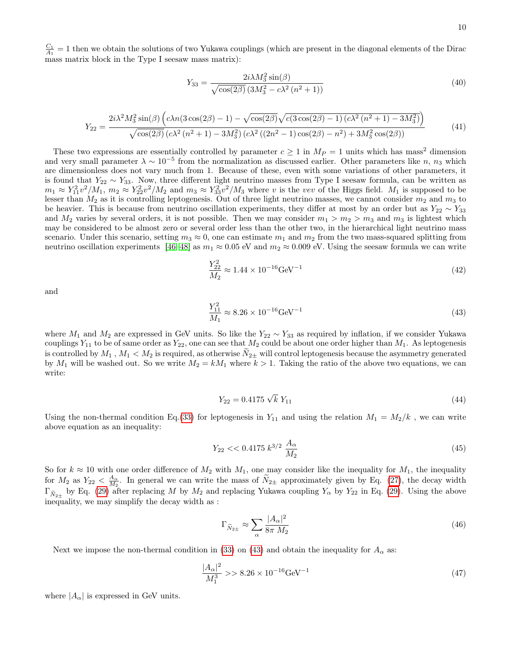$\frac{C_1}{A_1} = 1$  then we obtain the solutions of two Yukawa couplings (which are present in the diagonal elements of the Dirac mass matrix block in the Type I seesaw mass matrix):

$$
Y_{33} = \frac{2i\lambda M_3^2 \sin(\beta)}{\sqrt{\cos(2\beta)} \left(3M_3^2 - c\lambda^2 \left(n^2 + 1\right)\right)}\tag{40}
$$

$$
Y_{22} = \frac{2i\lambda^2 M_3^2 \sin(\beta) \left(c\lambda n (3\cos(2\beta) - 1) - \sqrt{\cos(2\beta)} \sqrt{c(3\cos(2\beta) - 1)(c\lambda^2 (n^2 + 1) - 3M_3^2)}\right)}{\sqrt{\cos(2\beta)} \left(c\lambda^2 (n^2 + 1) - 3M_3^2\right) \left(c\lambda^2 ((2n^2 - 1)\cos(2\beta) - n^2) + 3M_3^2 \cos(2\beta)\right)}\tag{41}
$$

These two expressions are essentially controlled by parameter  $c \geq 1$  in  $M_P = 1$  units which has mass<sup>2</sup> dimension and very small parameter  $\lambda \sim 10^{-5}$  from the normalization as discussed earlier. Other parameters like n, n<sub>3</sub> which are dimensionless does not vary much from 1. Because of these, even with some variations of other parameters, it is found that  $Y_{22} \sim Y_{33}$ . Now, three different light neutrino masses from Type I seesaw formula, can be written as  $m_1 \approx Y_{11}^2 v^2 / M_1$ ,  $m_2 \approx Y_{22}^2 v^2 / M_2$  and  $m_3 \approx Y_{33}^2 v^2 / M_3$  where v is the vev of the Higgs field.  $M_1$  is supposed to be lesser than  $M_2$  as it is controlling leptogenesis. Out of three light neutrino masses, we cannot consider  $m_2$  and  $m_3$  to be heavier. This is because from neutrino oscillation experiments, they differ at most by an order but as  $Y_{22} \sim Y_{33}$ and  $M_2$  varies by several orders, it is not possible. Then we may consider  $m_1 > m_2 > m_3$  and  $m_3$  is lightest which may be considered to be almost zero or several order less than the other two, in the hierarchical light neutrino mass scenario. Under this scenario, setting  $m_3 \approx 0$ , one can estimate  $m_1$  and  $m_2$  from the two mass-squared splitting from neutrino oscillation experiments [\[46–](#page-13-8)[48\]](#page-13-9) as  $m_1 \approx 0.05$  eV and  $m_2 \approx 0.009$  eV. Using the seesaw formula we can write

$$
\frac{Y_{22}^2}{M_2} \approx 1.44 \times 10^{-16} \text{GeV}^{-1} \tag{42}
$$

and

<span id="page-9-0"></span>
$$
\frac{Y_{11}^2}{M_1} \approx 8.26 \times 10^{-16} \text{GeV}^{-1}
$$
\n(43)

where  $M_1$  and  $M_2$  are expressed in GeV units. So like the  $Y_{22} \sim Y_{33}$  as required by inflation, if we consider Yukawa couplings  $Y_{11}$  to be of same order as  $Y_{22}$ , one can see that  $M_2$  could be about one order higher than  $M_1$ . As leptogenesis is controlled by  $M_1$ ,  $M_1 < M_2$  is required, as otherwise  $N_{2\pm}$  will control leptogenesis because the asymmetry generated by  $M_1$  will be washed out. So we write  $M_2 = kM_1$  where  $k > 1$ . Taking the ratio of the above two equations, we can write:

$$
Y_{22} = 0.4175\sqrt{k}Y_{11} \tag{44}
$$

Using the non-thermal condition Eq.[\(33\)](#page-6-2) for leptogenesis in  $Y_{11}$  and using the relation  $M_1 = M_2/k$ , we can write above equation as an inequality:

$$
Y_{22} < 0.4175 \, k^{3/2} \, \frac{A_{\alpha}}{M_2} \tag{45}
$$

So for  $k \approx 10$  with one order difference of  $M_2$  with  $M_1$ , one may consider like the inequality for  $M_1$ , the inequality for  $M_2$  as  $Y_{22} < \frac{A_{\alpha}}{M_2}$ . In general we can write the mass of  $\tilde{N}_{2\pm}$  approximately given by Eq. [\(27\)](#page-5-1), the decay width  $\Gamma_{\tilde{N}_{2\pm}}$  by Eq. [\(29\)](#page-6-1) after replacing M by  $M_2$  and replacing Yukawa coupling  $Y_{\alpha}$  by  $Y_{22}$  in Eq. (29). Using the above inequality, we may simplify the decay width as :

<span id="page-9-1"></span>
$$
\Gamma_{\widetilde{N}_{2\pm}} \approx \sum_{\alpha} \frac{|A_{\alpha}|^2}{8\pi M_2} \tag{46}
$$

Next we impose the non-thermal condition in [\(33\)](#page-6-2) on [\(43\)](#page-9-0) and obtain the inequality for  $A_{\alpha}$  as:

<span id="page-9-2"></span>
$$
\frac{|A_{\alpha}|^2}{M_1^3} >> 8.26 \times 10^{-16} \text{GeV}^{-1}
$$
\n(47)

where  $|A_{\alpha}|$  is expressed in GeV units.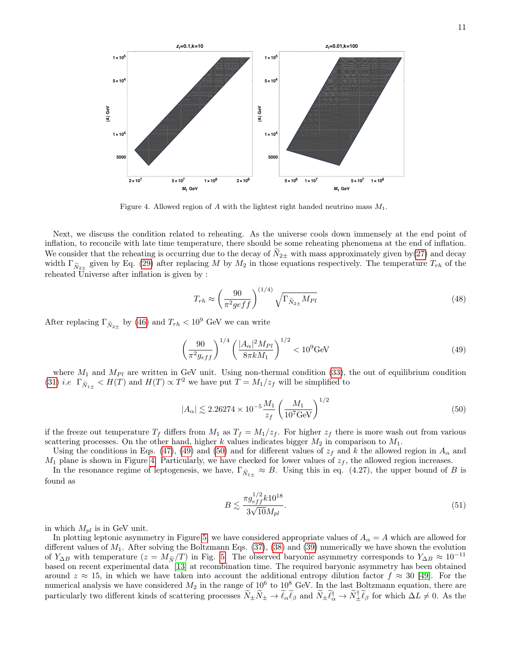

<span id="page-10-2"></span>Figure 4. Allowed region of A with the lightest right handed neutrino mass  $M_1$ .

Next, we discuss the condition related to reheating. As the universe cools down immensely at the end point of inflation, to reconcile with late time temperature, there should be some reheating phenomena at the end of inflation. We consider that the reheating is occurring due to the decay of  $N_{2\pm}$  with mass approximately given by[\(27\)](#page-5-1) and decay width  $\Gamma_{\tilde{N}_{2\pm}}$  given by Eq. [\(29\)](#page-6-1) after replacing M by  $M_2$  in those equations respectively. The temperature  $T_{rh}$  of the reheated Universe after inflation is given by :

<span id="page-10-0"></span>
$$
T_{rh} \approx \left(\frac{90}{\pi^2 g e f f}\right)^{(1/4)} \sqrt{\Gamma_{\widetilde{N}_{2\pm}} M_{Pl}}\tag{48}
$$

After replacing  $\Gamma_{\tilde{N}_{2\pm}}$  by [\(46\)](#page-9-1) and  $T_{rh} < 10^9$  GeV we can write

$$
\left(\frac{90}{\pi^2 g_{eff}}\right)^{1/4} \left(\frac{|A_\alpha|^2 M_{Pl}}{8\pi k M_1}\right)^{1/2} < 10^9 \text{GeV} \tag{49}
$$

where  $M_1$  and  $M_{Pl}$  are written in GeV unit. Using non-thermal condition [\(33\)](#page-6-2), the out of equilibrium condition [\(31\)](#page-6-3) *i.e*  $\Gamma_{\widetilde{N}_{1\pm}} < H(T)$  and  $H(T) \propto T^2$  we have put  $T = M_1/z_f$  will be simplified to

$$
|A_{\alpha}| \lesssim 2.26274 \times 10^{-5} \frac{M_1}{z_f} \left(\frac{M_1}{10^7 \text{GeV}}\right)^{1/2} \tag{50}
$$

if the freeze out temperature  $T_f$  differs from  $M_1$  as  $T_f = M_1/z_f$ . For higher  $z_f$  there is more wash out from various scattering processes. On the other hand, higher k values indicates bigger  $M_2$  in comparison to  $M_1$ .

Using the conditions in Eqs. [\(47\)](#page-9-2), [\(49\)](#page-10-0) and [\(50\)](#page-10-1) and for different values of  $z_f$  and k the allowed region in  $A_\alpha$  and  $M_1$  plane is shown in Figure [4.](#page-10-2) Particularly, we have checked for lower values of  $z<sub>f</sub>$ , the allowed region increases.

In the resonance regime of leptogenesis, we have,  $\Gamma_{\tilde{N}_{1\pm}} \approx B$ . Using this in eq. (4.27), the upper bound of B is found as

<span id="page-10-1"></span>
$$
B \lesssim \frac{\pi g_{eff}^{1/2} k 10^{18}}{3\sqrt{10} M_{pl}}.\tag{51}
$$

in which  $M_{pl}$  is in GeV unit.

In plotting leptonic asymmetry in Figure [5,](#page-11-1) we have considered appropriate values of  $A_{\alpha} = A$  which are allowed for different values of  $M_1$ . After solving the Boltzmann Eqs. [\(37\)](#page-7-1), [\(38\)](#page-8-1) and [\(39\)](#page-8-2) numerically we have shown the evolution of Y<sub>△B</sub> with temperature ( $z = M_{\tilde{N}}/T$ ) in Fig. [5.](#page-11-1) The observed baryonic asymmetry corresponds to  $Y_{\Delta B} \approx 10^{-11}$ based on recent experimental data [\[13\]](#page-12-6) at recombination time. The required baryonic asymmetry has been obtained around  $z \approx 15$ , in which we have taken into account the additional entropy dilution factor  $f \approx 30$  [\[49\]](#page-13-10). For the numerical analysis we have considered  $M_2$  in the range of  $10^6$  to  $10^8$  GeV. In the last Boltzmann equation, there are particularly two different kinds of scattering processes  $\widetilde{N}_{\pm}\widetilde{N}_{\pm} \to \widetilde{\ell}_{\alpha}\widetilde{\ell}_{\beta}$  and  $\widetilde{N}_{\pm}\widetilde{\ell}_{\alpha}^{\dagger} \to \widetilde{N}_{\pm}^{\dagger}\widetilde{\ell}_{\beta}$  for which  $\Delta L \neq 0$ . As the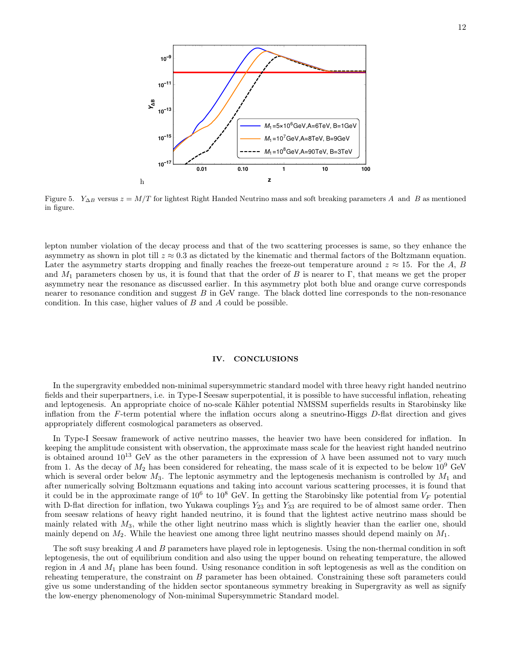

<span id="page-11-1"></span>Figure 5. Y<sub>△B</sub> versus  $z = M/T$  for lightest Right Handed Neutrino mass and soft breaking parameters A and B as mentioned in figure.

lepton number violation of the decay process and that of the two scattering processes is same, so they enhance the asymmetry as shown in plot till  $z \approx 0.3$  as dictated by the kinematic and thermal factors of the Boltzmann equation. Later the asymmetry starts dropping and finally reaches the freeze-out temperature around  $z \approx 15$ . For the A, B and  $M_1$  parameters chosen by us, it is found that that the order of B is nearer to Γ, that means we get the proper asymmetry near the resonance as discussed earlier. In this asymmetry plot both blue and orange curve corresponds nearer to resonance condition and suggest B in GeV range. The black dotted line corresponds to the non-resonance condition. In this case, higher values of B and A could be possible.

### <span id="page-11-0"></span>IV. CONCLUSIONS

In the supergravity embedded non-minimal supersymmetric standard model with three heavy right handed neutrino fields and their superpartners, i.e. in Type-I Seesaw superpotential, it is possible to have successful inflation, reheating and leptogenesis. An appropriate choice of no-scale Kähler potential NMSSM superfields results in Starobinsky like inflation from the  $F$ -term potential where the inflation occurs along a sneutrino-Higgs  $D$ -flat direction and gives appropriately different cosmological parameters as observed.

In Type-I Seesaw framework of active neutrino masses, the heavier two have been considered for inflation. In keeping the amplitude consistent with observation, the approximate mass scale for the heaviest right handed neutrino is obtained around  $10^{13}$  GeV as the other parameters in the expression of  $\lambda$  have been assumed not to vary much from 1. As the decay of  $M_2$  has been considered for reheating, the mass scale of it is expected to be below  $10^9$  GeV which is several order below  $M_3$ . The leptonic asymmetry and the leptogenesis mechanism is controlled by  $M_1$  and after numerically solving Boltzmann equations and taking into account various scattering processes, it is found that it could be in the approximate range of  $10^6$  to  $10^8$  GeV. In getting the Starobinsky like potential from  $V_F$  potential with D-flat direction for inflation, two Yukawa couplings  $Y_{23}$  and  $Y_{33}$  are required to be of almost same order. Then from seesaw relations of heavy right handed neutrino, it is found that the lightest active neutrino mass should be mainly related with  $M_3$ , while the other light neutrino mass which is slightly heavier than the earlier one, should mainly depend on  $M_2$ . While the heaviest one among three light neutrino masses should depend mainly on  $M_1$ .

The soft susy breaking A and B parameters have played role in leptogenesis. Using the non-thermal condition in soft leptogenesis, the out of equilibrium condition and also using the upper bound on reheating temperature, the allowed region in A and  $M_1$  plane has been found. Using resonance condition in soft leptogenesis as well as the condition on reheating temperature, the constraint on B parameter has been obtained. Constraining these soft parameters could give us some understanding of the hidden sector spontaneous symmetry breaking in Supergravity as well as signify the low-energy phenomenology of Non-minimal Supersymmetric Standard model.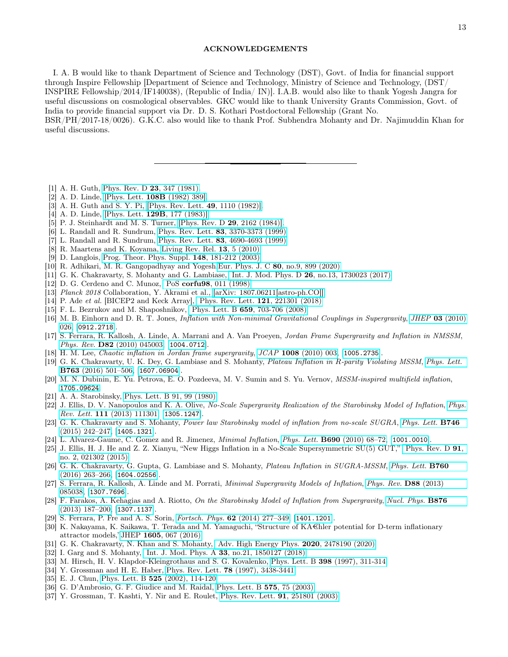#### ACKNOWLEDGEMENTS

I. A. B would like to thank Department of Science and Technology (DST), Govt. of India for financial support through Inspire Fellowship [Department of Science and Technology, Ministry of Science and Technology, (DST/ INSPIRE Fellowship/2014/IF140038), (Republic of India/ IN)]. I.A.B. would also like to thank Yogesh Jangra for useful discussions on cosmological observables. GKC would like to thank University Grants Commission, Govt. of India to provide financial support via Dr. D. S. Kothari Postdoctoral Fellowship (Grant No. BSR/PH/2017-18/0026). G.K.C. also would like to thank Prof. Subhendra Mohanty and Dr. Najimuddin Khan for

useful discussions.

- <span id="page-12-0"></span>[1] A. H. Guth, [Phys. Rev. D](https://journals.aps.org/prd/abstract/10.1103/PhysRevD.23.347) 23, 347 (1981).
- [2] A. D. Linde, [\[Phys. Lett.](https://www.sciencedirect.com/science/article/pii/0370269382912199) 108B (1982) 389].
- [3] A. H. Guth and S. Y. Pi, [\[Phys. Rev. Lett.](https://link.aps.org/doi/10.1103/PhysRevLett.49.1110) 49, 1110 (1982)].
- [4] A. D. Linde, [Phys. Lett. **129B**[, 177 \(1983\)\].](https://www.sciencedirect.com/science/article/pii/0370269383908377)
- <span id="page-12-1"></span>[5] P. J. Steinhardt and M. S. Turner, [\[Phys. Rev. D](https://journals.aps.org/prd/abstract/10.1103/PhysRevD.29.2162) 29, 2162 (1984)].
- <span id="page-12-2"></span>[6] L. Randall and R. Sundrum, Phys. Rev. Lett. 83[, 3370-3373 \(1999\)](https://journals.aps.org/prl/abstract/10.1103/PhysRevLett.83.3370)
- [7] L. Randall and R. Sundrum, Phys. Rev. Lett. 83[, 4690-4693 \(1999\)](https://journals.aps.org/prl/abstract/10.1103/PhysRevLett.83.4690)
- [8] R. Maartens and K. Koyama, [Living Rev. Rel.](https://link.springer.com/article/10.12942/lrr-2010-5) 13, 5 (2010)
- [9] D. Langlois, [Prog. Theor. Phys. Suppl.](https://academic.oup.com/ptps/article/doi/10.1143/PTPS.148.181/1880966) 148, 181-212 (2003)
- <span id="page-12-3"></span>[10] R. Adhikari, M. R. Gangopadhyay and Yogesh,Eur. Phys. J. C 80[, no.9, 899 \(2020\)](https://link.springer.com/article/10.1140/epjc/s10052-020-08460-3)
- <span id="page-12-4"></span>[11] G. K. Chakravarty, S. Mohanty and G. Lambiase, Int. J. Mod. Phys. D 26[, no.13, 1730023 \(2017\)](https://www.worldscientific.com/doi/abs/10.1142/S0218271817300233)
- <span id="page-12-5"></span>[12] D. G. Cerdeno and C. Munoz, PoS corfu98[, 011 \(1998\)](https://pos.sissa.it/001/011/pdf)
- <span id="page-12-6"></span>[13] Planck 2018 Collaboration, Y. Akrami et al., [\[arXiv: 1807.06211\[astro-ph.CO\]\].](https://arxiv.org/abs/1807.06211)
- <span id="page-12-7"></span>[14] P. Ade et al. [BICEP2 and Keck Array], [Phys. Rev. Lett.](https://journals.aps.org/prl/abstract/10.1103/PhysRevLett.121.221301) 121, 221301 (2018)
- <span id="page-12-8"></span>[15] F. L. Bezrukov and M. Shaposhnikov, Phys. Lett. B 659[, 703-706 \(2008\)](https://www.sciencedirect.com/science/article/pii/S0370269307014128?via%3Dihub)
- <span id="page-12-9"></span>[16] M. B. Einhorn and D. R. T. Jones, Inflation with Non-minimal Gravitational Couplings in Supergravity, JHEP 03 [\(2010\)](https://doi.org/10.1007/JHEP03(2010)026) [026,](https://doi.org/10.1007/JHEP03(2010)026) [[0912.2718](https://arxiv.org/abs/0912.2718)].
- [17] S. Ferrara, R. Kallosh, A. Linde, A. Marrani and A. Van Proeyen, Jordan Frame Supergravity and Inflation in NMSSM, Phys. Rev. **D82** [\(2010\) 045003,](https://doi.org/10.1103/PhysRevD.82.045003) [[1004.0712](https://arxiv.org/abs/1004.0712)].
- [18] H. M. Lee, Chaotic inflation in Jordan frame supergravity, JCAP 1008 [\(2010\) 003,](https://doi.org/10.1088/1475-7516/2010/08/003) [[1005.2735](https://arxiv.org/abs/1005.2735)].
- [19] G. K. Chakravarty, U. K. Dey, G. Lambiase and S. Mohanty, Plateau Inflation in R-parity Violating MSSM, [Phys. Lett.](https://doi.org/10.1016/j.physletb.2016.10.081) B763 [\(2016\) 501–506,](https://doi.org/10.1016/j.physletb.2016.10.081) [[1607.06904](https://arxiv.org/abs/1607.06904)].
- <span id="page-12-10"></span>[20] M. N. Dubinin, E. Yu. Petrova, E. O. Pozdeeva, M. V. Sumin and S. Yu. Vernov, MSSM-inspired multifield inflation, [1705.09624](https://arxiv.org/abs/1705.09624).
- <span id="page-12-11"></span>[21] A. A. Starobinsky, [Phys. Lett. B 91, 99 \(1980\).](https://www.sciencedirect.com/science/article/pii/037026938090670X)
- <span id="page-12-12"></span>[22] J. Ellis, D. V. Nanopoulos and K. A. Olive, No-Scale Supergravity Realization of the Starobinsky Model of Inflation, [Phys.](https://doi.org/10.1103/PhysRevLett.111.129902, 10.1103/PhysRevLett.111.111301) Rev. Lett. 111 [\(2013\) 111301,](https://doi.org/10.1103/PhysRevLett.111.129902, 10.1103/PhysRevLett.111.111301) [[1305.1247](https://arxiv.org/abs/1305.1247)].
- <span id="page-12-13"></span>[23] G. K. Chakravarty and S. Mohanty, Power law Starobinsky model of inflation from no-scale SUGRA, [Phys. Lett.](https://doi.org/10.1016/j.physletb.2015.04.056) **B746** [\(2015\) 242–247,](https://doi.org/10.1016/j.physletb.2015.04.056) [[1405.1321](https://arxiv.org/abs/1405.1321)].
- <span id="page-12-14"></span>[24] L. Alvarez-Gaume, C. Gomez and R. Jimenez, Minimal Inflation, Phys. Lett. B690 [\(2010\) 68–72,](https://doi.org/10.1016/j.physletb.2010.04.069) [[1001.0010](https://arxiv.org/abs/1001.0010)].
- [25] J. Ellis, H. J. He and Z. Z. Xianyu, "New Higgs Inflation in a No-Scale Supersymmetric SU(5) GUT," [Phys. Rev. D](https://journals.aps.org/prd/abstract/10.1103/PhysRevD.91.021302) 91, [no. 2, 021302 \(2015\)](https://journals.aps.org/prd/abstract/10.1103/PhysRevD.91.021302)
- <span id="page-12-15"></span>[26] G. K. Chakravarty, G. Gupta, G. Lambiase and S. Mohanty, Plateau Inflation in SUGRA-MSSM, [Phys. Lett.](https://doi.org/10.1016/j.physletb.2016.06.053) B760 [\(2016\) 263–266,](https://doi.org/10.1016/j.physletb.2016.06.053) [[1604.02556](https://arxiv.org/abs/1604.02556)].
- <span id="page-12-16"></span>[27] S. Ferrara, R. Kallosh, A. Linde and M. Porrati, Minimal Supergravity Models of Inflation, [Phys. Rev.](https://doi.org/10.1103/PhysRevD.88.085038) D88 (2013) [085038,](https://doi.org/10.1103/PhysRevD.88.085038) [[1307.7696](https://arxiv.org/abs/1307.7696)].
- [28] F. Farakos, A. Kehagias and A. Riotto, On the Starobinsky Model of Inflation from Supergravity, [Nucl. Phys.](https://doi.org/10.1016/j.nuclphysb.2013.08.005) **B876** [\(2013\) 187–200,](https://doi.org/10.1016/j.nuclphysb.2013.08.005) [[1307.1137](https://arxiv.org/abs/1307.1137)].
- [29] S. Ferrara, P. Fre and A. S. Sorin, Fortsch. Phys. 62 [\(2014\) 277–349,](https://doi.org/10.1002/prop.201400003) [[1401.1201](https://arxiv.org/abs/1401.1201)].
- [30] K. Nakayama, K. Saikawa, T. Terada and M. Yamaguchi, "Structure of  $KA\oplus$  her potential for D-term inflationary attractor models,"JHEP 1605[, 067 \(2016\)](https://link.springer.com/article/10.1007%2FJHEP05%282016%29067)
- <span id="page-12-17"></span>[31] G. K. Chakravarty, N. Khan and S. Mohanty, [Adv. High Energy Phys.](https://www.hindawi.com/journals/ahep/2020/2478190/) 2020, 2478190 (2020)
- <span id="page-12-18"></span>[32] I. Garg and S. Mohanty, Int. J. Mod. Phys. A 33, no. 21, 1850127 (2018)
- <span id="page-12-19"></span>[33] M. Hirsch, H. V. Klapdor-Kleingrothaus and S. G. Kovalenko, Phys. Lett. B 398 [\(1997\), 311-314](https://www.sciencedirect.com/science/article/abs/pii/S0370269397002347?via%3Dihub)
- [34] Y. Grossman and H. E. Haber, Phys. Rev. Lett. 78 [\(1997\), 3438-3441](https://journals.aps.org/prl/abstract/10.1103/PhysRevLett.78.3438)
- <span id="page-12-20"></span>[35] E. J. Chun, Phys. Lett. B 525 [\(2002\), 114-120](https://www.sciencedirect.com/science/article/pii/S0370269301014368)
- <span id="page-12-21"></span>[36] G. D'Ambrosio, G. F. Giudice and M. Raidal, [Phys. Lett. B](https://www.sciencedirect.com/science/article/pii/S0370269303014187?via%3Dihub) 575, 75 (2003).
- <span id="page-12-22"></span>[37] Y. Grossman, T. Kashti, Y. Nir and E. Roulet, [Phys. Rev. Lett.](https://journals.aps.org/prl/abstract/10.1103/PhysRevLett.91.251801) 91, 251801 (2003)